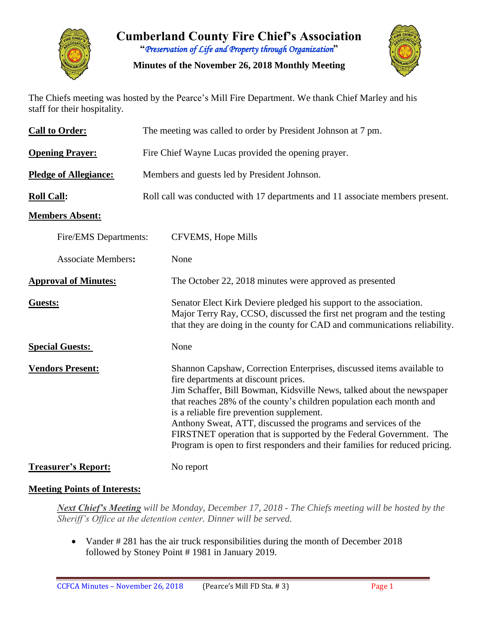

**Cumberland County Fire Chief's Association "***Preservation of Life and Property through Organization***"**

**Minutes of the November 26, 2018 Monthly Meeting**



The Chiefs meeting was hosted by the Pearce's Mill Fire Department. We thank Chief Marley and his staff for their hospitality.

| <b>Call to Order:</b>        | The meeting was called to order by President Johnson at 7 pm.                 |                                                                                                                                                                                                                                                                                                                                                                                                                                                                                                                                    |  |  |
|------------------------------|-------------------------------------------------------------------------------|------------------------------------------------------------------------------------------------------------------------------------------------------------------------------------------------------------------------------------------------------------------------------------------------------------------------------------------------------------------------------------------------------------------------------------------------------------------------------------------------------------------------------------|--|--|
| <b>Opening Prayer:</b>       | Fire Chief Wayne Lucas provided the opening prayer.                           |                                                                                                                                                                                                                                                                                                                                                                                                                                                                                                                                    |  |  |
| <b>Pledge of Allegiance:</b> | Members and guests led by President Johnson.                                  |                                                                                                                                                                                                                                                                                                                                                                                                                                                                                                                                    |  |  |
| <b>Roll Call:</b>            | Roll call was conducted with 17 departments and 11 associate members present. |                                                                                                                                                                                                                                                                                                                                                                                                                                                                                                                                    |  |  |
| <b>Members Absent:</b>       |                                                                               |                                                                                                                                                                                                                                                                                                                                                                                                                                                                                                                                    |  |  |
| Fire/EMS Departments:        |                                                                               | CFVEMS, Hope Mills                                                                                                                                                                                                                                                                                                                                                                                                                                                                                                                 |  |  |
| <b>Associate Members:</b>    |                                                                               | None                                                                                                                                                                                                                                                                                                                                                                                                                                                                                                                               |  |  |
| <b>Approval of Minutes:</b>  |                                                                               | The October 22, 2018 minutes were approved as presented                                                                                                                                                                                                                                                                                                                                                                                                                                                                            |  |  |
| Guests:                      |                                                                               | Senator Elect Kirk Deviere pledged his support to the association.<br>Major Terry Ray, CCSO, discussed the first net program and the testing<br>that they are doing in the county for CAD and communications reliability.                                                                                                                                                                                                                                                                                                          |  |  |
| <b>Special Guests:</b>       |                                                                               | None                                                                                                                                                                                                                                                                                                                                                                                                                                                                                                                               |  |  |
| <b>Vendors Present:</b>      |                                                                               | Shannon Capshaw, Correction Enterprises, discussed items available to<br>fire departments at discount prices.<br>Jim Schaffer, Bill Bowman, Kidsville News, talked about the newspaper<br>that reaches 28% of the county's children population each month and<br>is a reliable fire prevention supplement.<br>Anthony Sweat, ATT, discussed the programs and services of the<br>FIRSTNET operation that is supported by the Federal Government. The<br>Program is open to first responders and their families for reduced pricing. |  |  |
| <b>Treasurer's Report:</b>   |                                                                               | No report                                                                                                                                                                                                                                                                                                                                                                                                                                                                                                                          |  |  |

#### **Meeting Points of Interests:**

*Next Chief's Meeting will be Monday, December 17, 2018 - The Chiefs meeting will be hosted by the Sheriff's Office at the detention center. Dinner will be served.*

• Vander # 281 has the air truck responsibilities during the month of December 2018 followed by Stoney Point # 1981 in January 2019.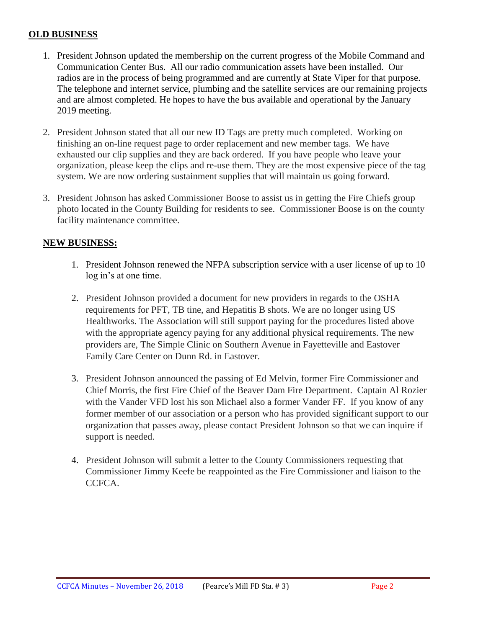#### **OLD BUSINESS**

- 1. President Johnson updated the membership on the current progress of the Mobile Command and Communication Center Bus. All our radio communication assets have been installed. Our radios are in the process of being programmed and are currently at State Viper for that purpose. The telephone and internet service, plumbing and the satellite services are our remaining projects and are almost completed. He hopes to have the bus available and operational by the January 2019 meeting.
- 2. President Johnson stated that all our new ID Tags are pretty much completed. Working on finishing an on-line request page to order replacement and new member tags. We have exhausted our clip supplies and they are back ordered. If you have people who leave your organization, please keep the clips and re-use them. They are the most expensive piece of the tag system. We are now ordering sustainment supplies that will maintain us going forward.
- 3. President Johnson has asked Commissioner Boose to assist us in getting the Fire Chiefs group photo located in the County Building for residents to see. Commissioner Boose is on the county facility maintenance committee.

#### **NEW BUSINESS:**

- 1. President Johnson renewed the NFPA subscription service with a user license of up to 10 log in's at one time.
- 2. President Johnson provided a document for new providers in regards to the OSHA requirements for PFT, TB tine, and Hepatitis B shots. We are no longer using US Healthworks. The Association will still support paying for the procedures listed above with the appropriate agency paying for any additional physical requirements. The new providers are, The Simple Clinic on Southern Avenue in Fayetteville and Eastover Family Care Center on Dunn Rd. in Eastover.
- 3. President Johnson announced the passing of Ed Melvin, former Fire Commissioner and Chief Morris, the first Fire Chief of the Beaver Dam Fire Department. Captain Al Rozier with the Vander VFD lost his son Michael also a former Vander FF. If you know of any former member of our association or a person who has provided significant support to our organization that passes away, please contact President Johnson so that we can inquire if support is needed.
- 4. President Johnson will submit a letter to the County Commissioners requesting that Commissioner Jimmy Keefe be reappointed as the Fire Commissioner and liaison to the CCFCA.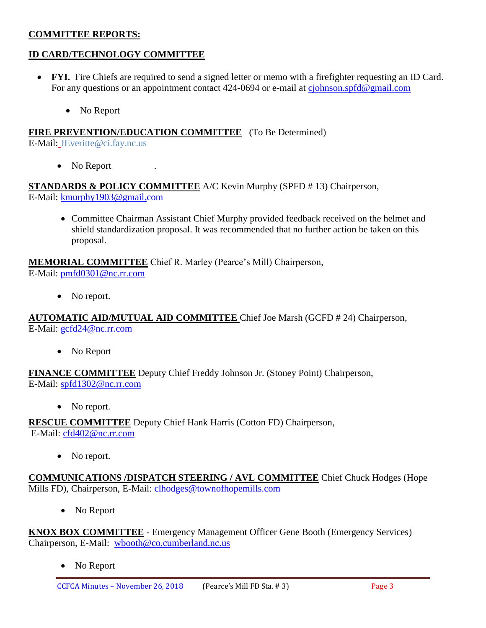#### **COMMITTEE REPORTS:**

#### **ID CARD/TECHNOLOGY COMMITTEE**

- **FYI.** Fire Chiefs are required to send a signed letter or memo with a firefighter requesting an ID Card. For any questions or an appointment contact 424-0694 or e-mail at [cjohnson.spfd@gmail.com](mailto:cjohnson.spfd@gmail.com)
	- No Report

#### **FIRE PREVENTION/EDUCATION COMMITTEE** (To Be Determined)

E-Mail: JEveritte@ci.fay.nc.us

• No Report

**STANDARDS & POLICY COMMITTEE** A/C Kevin Murphy (SPFD # 13) Chairperson, E-Mail: [kmurphy1903@gmail.com](mailto:kmurphy1903@gmail.com)

• Committee Chairman Assistant Chief Murphy provided feedback received on the helmet and shield standardization proposal. It was recommended that no further action be taken on this proposal.

**MEMORIAL COMMITTEE** Chief R. Marley (Pearce's Mill) Chairperson, E-Mail: [pmfd0301@nc.rr.com](mailto:pmfd0301@nc.rr.com)

• No report.

**AUTOMATIC AID/MUTUAL AID COMMITTEE** Chief Joe Marsh (GCFD # 24) Chairperson, E-Mail: [gcfd24@nc.rr.com](mailto:gcfd24@nc.rr.com)

• No Report

**FINANCE COMMITTEE** Deputy Chief Freddy Johnson Jr. (Stoney Point) Chairperson, E-Mail: [spfd1302@nc.rr.com](mailto:spfd1302@nc.rr.com)

• No report.

**RESCUE COMMITTEE** Deputy Chief Hank Harris (Cotton FD) Chairperson,

E-Mail: [cfd402@nc.rr.com](mailto:cfd402@nc.rr.com)

No report.

**COMMUNICATIONS /DISPATCH STEERING / AVL COMMITTEE** Chief Chuck Hodges (Hope Mills FD), Chairperson, E-Mail: clhodges@townofhopemills.com

• No Report

**KNOX BOX COMMITTEE** - Emergency Management Officer Gene Booth (Emergency Services) Chairperson, E-Mail: [wbooth@co.cumberland.nc.us](mailto:wbooth@co.cumberland.nc.us)

• No Report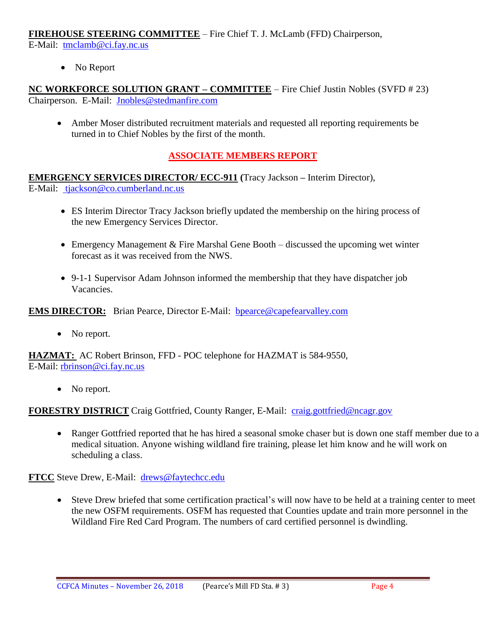**FIREHOUSE STEERING COMMITTEE** – Fire Chief T. J. McLamb (FFD) Chairperson,

E-Mail: [tmclamb@ci.fay.nc.us](mailto:tmclamb@ci.fay.nc.us)

• No Report

**NC WORKFORCE SOLUTION GRANT – COMMITTEE** – Fire Chief Justin Nobles (SVFD # 23) Chairperson. E-Mail: [Jnobles@stedmanfire.com](mailto:Jnobles@stedmanfire.com)

 Amber Moser distributed recruitment materials and requested all reporting requirements be turned in to Chief Nobles by the first of the month.

#### **ASSOCIATE MEMBERS REPORT**

**EMERGENCY SERVICES DIRECTOR/ ECC-911 (**Tracy Jackson **–** Interim Director), E-Mail: [tjackson@co.cumberland.nc.us](mailto:tjackson@co.cumberland.nc.us)

- ES Interim Director Tracy Jackson briefly updated the membership on the hiring process of the new Emergency Services Director.
- Emergency Management & Fire Marshal Gene Booth discussed the upcoming wet winter forecast as it was received from the NWS.
- 9-1-1 Supervisor Adam Johnson informed the membership that they have dispatcher job Vacancies.

**EMS DIRECTOR:** Brian Pearce, Director E-Mail: bpearce@capefearvalley.com

• No report.

**HAZMAT:** AC Robert Brinson, FFD - POC telephone for HAZMAT is 584-9550, E-Mail: [rbrinson@ci.fay.nc.us](mailto:rbrinson@ci.fay.nc.us)

• No report.

**FORESTRY DISTRICT** Craig Gottfried, County Ranger, E-Mail: [craig.gottfried@ncagr.gov](mailto:craig.gottfried@ncagr.gov)

• Ranger Gottfried reported that he has hired a seasonal smoke chaser but is down one staff member due to a medical situation. Anyone wishing wildland fire training, please let him know and he will work on scheduling a class.

**FTCC** Steve Drew, E-Mail: [drews@faytechcc.edu](mailto:drews@faytechcc.edu)

 Steve Drew briefed that some certification practical's will now have to be held at a training center to meet the new OSFM requirements. OSFM has requested that Counties update and train more personnel in the Wildland Fire Red Card Program. The numbers of card certified personnel is dwindling.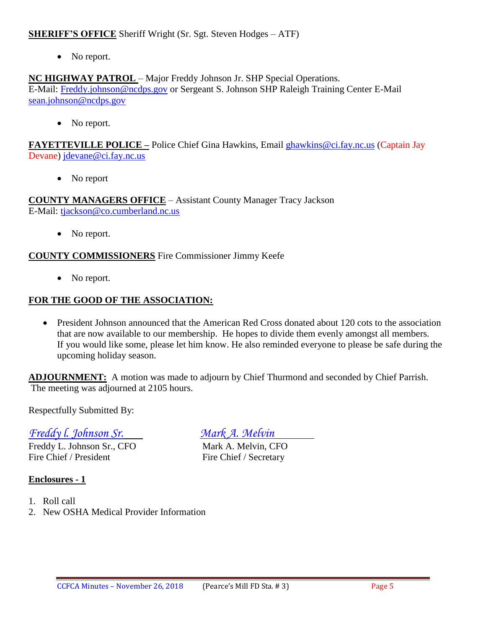#### **SHERIFF'S OFFICE** Sheriff Wright (Sr. Sgt. Steven Hodges – ATF)

• No report.

**NC HIGHWAY PATROL** – Major Freddy Johnson Jr. SHP Special Operations. E-Mail: [Freddy.johnson@ncdps.gov](mailto:Freddy.johnson@ncdps.gov) or Sergeant S. Johnson SHP Raleigh Training Center E-Mail [sean.johnson@ncdps.gov](mailto:sean.johnson@ncdps.gov)

• No report.

**FAYETTEVILLE POLICE –** Police Chief Gina Hawkins, Email [ghawkins@ci.fay.nc.us](mailto:ghawkins@ci.fay.nc.us) (Captain Jay Devane) [jdevane@ci.fay.nc.us](mailto:jdevane@ci.fay.nc.us)

• No report

**COUNTY MANAGERS OFFICE** – Assistant County Manager Tracy Jackson E-Mail: [tjackson@co.cumberland.nc.us](mailto:tjackson@co.cumberland.nc.us)

• No report.

#### **COUNTY COMMISSIONERS** Fire Commissioner Jimmy Keefe

• No report.

#### **FOR THE GOOD OF THE ASSOCIATION:**

• President Johnson announced that the American Red Cross donated about 120 cots to the association that are now available to our membership. He hopes to divide them evenly amongst all members. If you would like some, please let him know. He also reminded everyone to please be safe during the upcoming holiday season.

**ADJOURNMENT:** A motion was made to adjourn by Chief Thurmond and seconded by Chief Parrish. The meeting was adjourned at 2105 hours.

Respectfully Submitted By:

#### *Freddy l. Johnson Sr. Mark A. Melvin*

Freddy L. Johnson Sr., CFO Mark A. Melvin, CFO Fire Chief / President Fire Chief / Secretary

# **Enclosures - 1**

- 1. Roll call
- 2. New OSHA Medical Provider Information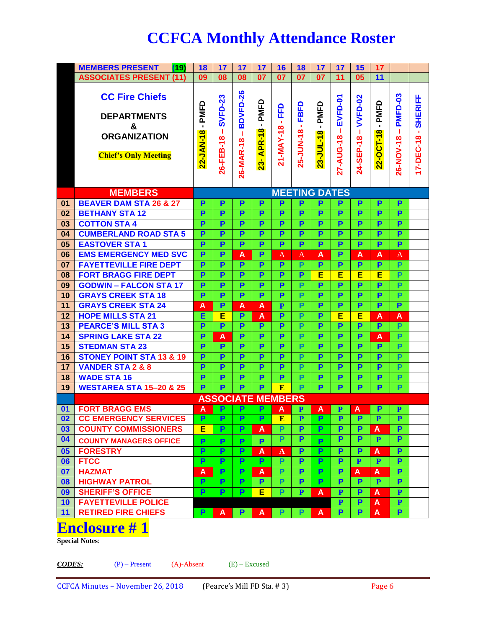# **CCFCA Monthly Attendance Roster**

|                 | <b>MEMBERS PRESENT</b><br>(19)                                                                         | 18                                             | 17                               | 17                         | 17                                                | 16                      | 18                            | 17                                  | 17                         | 15                               | 17                                  |                            |                     |
|-----------------|--------------------------------------------------------------------------------------------------------|------------------------------------------------|----------------------------------|----------------------------|---------------------------------------------------|-------------------------|-------------------------------|-------------------------------------|----------------------------|----------------------------------|-------------------------------------|----------------------------|---------------------|
|                 | <b>ASSOCIATES PRESENT (11)</b>                                                                         | 09                                             | 08                               | 08                         | 07                                                | 07                      | 07                            | 07                                  | 11                         | 05                               | 11                                  |                            |                     |
|                 | <b>CC Fire Chiefs</b><br><b>DEPARTMENTS</b><br>&<br><b>ORGANIZATION</b><br><b>Chief's Only Meeting</b> | PMFD<br>$\blacksquare$<br>$\infty$<br>22-JAN-1 | <b>SVFD-23</b><br>п<br>26-FEB-18 | BDVFD-26<br>т<br>26-MAR-18 | PMFD<br>$\blacksquare$<br><b>APR-18</b><br>$23 -$ | 윤<br>٠<br>21-MAY-18     | <b>FBFD</b><br>×<br>25-JUN-18 | PMFD<br>$\blacksquare$<br>23-JUL-18 | EVFD-01<br>-1<br>27-AUG-18 | <b>VVFD-02</b><br>т<br>24-SEP-18 | PMFD<br>$\blacksquare$<br>22-OCT-18 | PMFD-03<br>J.<br>26-NOV-18 | 17-DEC-18 - SHERIFF |
|                 | <b>MEMBERS</b>                                                                                         |                                                |                                  |                            |                                                   |                         |                               |                                     | <b>MEETING DATES</b>       |                                  |                                     |                            |                     |
| 01              | <b>BEAVER DAM STA 26 &amp; 27</b>                                                                      | P                                              | P                                | P                          | P                                                 | P                       | P                             | P                                   | P                          | P.                               | P                                   | P                          |                     |
| 02              | <b>BETHANY STA 12</b>                                                                                  | $\overline{P}$                                 | P                                | P                          | P                                                 | P                       | P                             | P                                   | P                          | P                                | P                                   | $\overline{P}$             |                     |
| 03              | <b>COTTON STA 4</b>                                                                                    | P                                              | P                                | P                          | P                                                 | P                       | P                             | P                                   | P                          | P                                | P                                   | P                          |                     |
| 04              | <b>CUMBERLAND ROAD STA 5</b>                                                                           | $\overline{P}$                                 | P                                | P                          | P                                                 | P                       | P                             | P                                   | P                          | $\overline{P}$                   | P                                   | $\overline{P}$             |                     |
| 05              | <b>EASTOVER STA1</b>                                                                                   | P                                              | P                                | $\overline{P}$             | P                                                 | P                       | P                             | P                                   | P                          | P                                | P                                   | $\overline{P}$             |                     |
| 06              | <b>EMS EMERGENCY MED SVC</b>                                                                           | $\overline{P}$                                 | P                                | A                          | $\overline{P}$                                    | $\mathbf{A}$            | $\overline{A}$                | A                                   | P                          | A                                | A                                   | $\mathbf{A}% _{0}$         |                     |
| 07              | <b>FAYETTEVILLE FIRE DEPT</b>                                                                          | $\overline{P}$                                 | P                                | P                          | $\overline{P}$                                    | P                       | P                             | P                                   | P                          | P                                | P                                   | $\overline{P}$             |                     |
| 08              | <b>FORT BRAGG FIRE DEPT</b>                                                                            | $\overline{P}$                                 | P                                | P                          | $\overline{P}$                                    | $\overline{P}$          | P                             | E                                   | Ε                          | Ε                                | E                                   | $\overline{P}$             |                     |
| 09              | <b>GODWIN - FALCON STA 17</b>                                                                          | P                                              | P                                | $\overline{P}$             | $\overline{P}$                                    | $\overline{P}$          | $\overline{P}$                | P                                   | P                          | P                                | P                                   | $\overline{P}$             |                     |
| 10              | <b>GRAYS CREEK STA 18</b>                                                                              | P                                              | P                                | $\overline{P}$             | $\overline{P}$                                    | $\overline{P}$          | P                             | P                                   | P                          | P                                | P                                   | $\overline{P}$             |                     |
| 11              | <b>GRAYS CREEK STA 24</b>                                                                              | A                                              | P                                | A                          | A                                                 | $\overline{\mathbf{P}}$ | $\overline{P}$                | P                                   | P                          | $\overline{P}$                   | $\overline{P}$                      | P                          |                     |
| 12              | <b>HOPE MILLS STA 21</b>                                                                               | Е                                              | Е                                | P                          | A                                                 | $\overline{P}$          | $\overline{P}$                | P                                   | E                          | Е                                | A                                   | A                          |                     |
| 13              | <b>PEARCE'S MILL STA 3</b>                                                                             | P                                              | P                                | P                          | P                                                 | P                       | P                             | P                                   | P                          | P                                | P                                   | $\overline{P}$             |                     |
| 14              | <b>SPRING LAKE STA 22</b>                                                                              | $\overline{P}$                                 | A                                | P                          | P                                                 | $\overline{P}$          | $\overline{P}$                | $\overline{\mathsf{P}}$             | P                          | P                                | A                                   | $\overline{P}$             |                     |
| 15              | <b>STEDMAN STA 23</b>                                                                                  | P                                              | P                                | P                          | P                                                 | $\overline{P}$          | P                             | $\overline{P}$                      | P                          | P                                | P                                   | $\overline{P}$             |                     |
| 16              | <b>STONEY POINT STA 13 &amp; 19</b>                                                                    | P                                              | P                                | P                          | P                                                 | $\overline{P}$          | P                             | P                                   | P                          | P                                | P                                   | $\overline{P}$             |                     |
| 17              | <b>VANDER STA 2 &amp; 8</b>                                                                            | $\overline{P}$                                 | P                                | P                          | $\overline{P}$                                    | P                       | P                             | P                                   | P                          | P                                | P                                   | $\overline{P}$             |                     |
| 18              | <b>WADE STA 16</b>                                                                                     | P                                              | P                                | P                          | P                                                 | P                       | P                             | P                                   | P                          | $\overline{P}$                   | P                                   | $\overline{P}$             |                     |
| 19              | <b>WESTAREA STA 15-20 &amp; 25</b>                                                                     | P                                              | P                                | $\overline{P}$             | $\overline{P}$                                    | E                       | $\overline{P}$                | P                                   | P                          | P                                | P                                   | $\overline{P}$             |                     |
|                 |                                                                                                        |                                                |                                  |                            | <b>ASSOCIATE MEMBERS</b>                          |                         |                               |                                     |                            |                                  |                                     |                            |                     |
| 01              | <b>FORT BRAGG EMS</b>                                                                                  | A                                              |                                  | P.                         | P                                                 | A                       | P                             | A                                   | P                          | A                                |                                     | ${\bf P}$                  |                     |
| 02 <sub>2</sub> | <b>CC EMERGENCY SERVICES</b>                                                                           | P                                              | Ρ                                | Р                          | Р                                                 | $\bf{E}$                | P                             | Р                                   | P                          | Р                                | P                                   | P                          |                     |
| 03              | <b>COUNTY COMMISSIONERS</b>                                                                            | E                                              | P                                | P                          | A                                                 | P                       | P                             | $\overline{\mathbf{P}}$             | P                          | P                                | A                                   | P                          |                     |
| 04              | <b>COUNTY MANAGERS OFFICE</b>                                                                          | P                                              | P                                | P                          | P                                                 | P                       | P                             | P                                   | P                          | P                                | P                                   | P                          |                     |
| 05              | <b>FORESTRY</b>                                                                                        | P                                              | P                                | P                          | A                                                 | $\mathbf{A}$            | P                             | P                                   | P                          | P                                | A                                   | P                          |                     |
| 06              | <b>FTCC</b>                                                                                            | P                                              | P                                | P                          | P                                                 | P                       | P                             | P                                   | P                          | $\mathbf{P}$                     | $\mathbf{P}$                        | P                          |                     |
| 07              | <b>HAZMAT</b>                                                                                          | A                                              | P                                | P                          | A                                                 | P                       | P                             | P                                   | P                          | A                                | A                                   | P                          |                     |
| 08              | <b>HIGHWAY PATROL</b>                                                                                  | P                                              | P                                | P                          | P                                                 | P                       | P                             | P                                   | P                          | P                                | $\mathbf{P}$                        | $\overline{P}$             |                     |
| 09              | <b>SHERIFF'S OFFICE</b>                                                                                | $\overline{P}$                                 | P                                | P                          | E                                                 | P                       | $\mathbf{P}$                  | A                                   | $\mathbf{P}$               | P                                | A                                   | $\mathbf{P}$               |                     |
| 10              | <b>FAYETTEVILLE POLICE</b>                                                                             |                                                |                                  |                            |                                                   |                         |                               |                                     | $\mathbf{P}$               | P                                | A                                   | $\mathbf{P}$               |                     |
| 11              | <b>RETIRED FIRE CHIEFS</b>                                                                             | P                                              | A                                | P                          | A                                                 | P                       | P                             | A                                   | P                          | P                                | A                                   | P                          |                     |

## **Enclosure # 1**

**Special Notes**:

*CODES:* (P) – Present (A)-Absent (E) – Excused